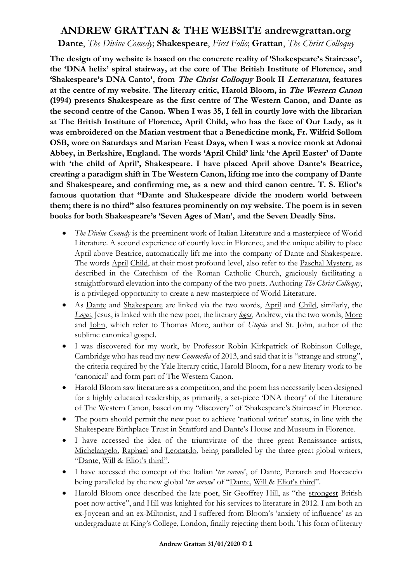## **ANDREW GRATTAN & THE WEBSITE andrewgrattan.org**

**Dante**, *The Divine Comedy*; **Shakespeare**, *First Folio*; **Grattan**, *The Christ Colloquy*

**The design of my website is based on the concrete reality of 'Shakespeare's Staircase', the 'DNA helix' spiral stairway, at the core of The British Institute of Florence, and 'Shakespeare's DNA Canto', from The Christ Colloquy Book II Letteratura, features at the centre of my website. The literary critic, Harold Bloom, in The Western Canon (1994) presents Shakespeare as the first centre of The Western Canon, and Dante as the second centre of the Canon. When I was 35, I fell in courtly love with the librarian at The British Institute of Florence, April Child, who has the face of Our Lady, as it was embroidered on the Marian vestment that a Benedictine monk, Fr. Wilfrid Sollom OSB, wore on Saturdays and Marian Feast Days, when I was a novice monk at Adonai Abbey, in Berkshire, England. The words 'April Child' link 'the April Easter' of Dante with 'the child of April', Shakespeare. I have placed April above Dante's Beatrice, creating a paradigm shift in The Western Canon, lifting me into the company of Dante and Shakespeare, and confirming me, as a new and third canon centre. T. S. Eliot's famous quotation that "Dante and Shakespeare divide the modern world between them; there is no third" also features prominently on my website. The poem is in seven books for both Shakespeare's 'Seven Ages of Man', and the Seven Deadly Sins.**

- *The Divine Comedy* is the preeminent work of Italian Literature and a masterpiece of World Literature. A second experience of courtly love in Florence, and the unique ability to place April above Beatrice, automatically lift me into the company of Dante and Shakespeare. The words April Child, at their most profound level, also refer to the Paschal Mystery, as described in the Catechism of the Roman Catholic Church, graciously facilitating a straightforward elevation into the company of the two poets. Authoring *The Christ Colloquy*, is a privileged opportunity to create a new masterpiece of World Literature.
- As Dante and Shakespeare are linked via the two words, April and Child, similarly, the *Logos*, Jesus, is linked with the new poet, the literary *logos*, Andrew, via the two words, More and John, which refer to Thomas More, author of *Utopia* and St. John, author of the sublime canonical gospel.
- I was discovered for my work, by Professor Robin Kirkpatrick of Robinson College, Cambridge who has read my new *Commedia* of 2013, and said that it is "strange and strong", the criteria required by the Yale literary critic, Harold Bloom, for a new literary work to be 'canonical' and form part of The Western Canon.
- Harold Bloom saw literature as a competition, and the poem has necessarily been designed for a highly educated readership, as primarily, a set-piece 'DNA theory' of the Literature of The Western Canon, based on my "discovery" of 'Shakespeare's Staircase' in Florence.
- The poem should permit the new poet to achieve 'national writer' status, in line with the Shakespeare Birthplace Trust in Stratford and Dante's House and Museum in Florence.
- I have accessed the idea of the triumvirate of the three great Renaissance artists, Michelangelo, Raphael and Leonardo, being paralleled by the three great global writers, "Dante, Will & Eliot's third".
- I have accessed the concept of the Italian '*tre corone*', of <u>Dante</u>, Petrarch and Boccaccio being paralleled by the new global '*tre corone*' of "Dante, Will & Eliot's third".
- Harold Bloom once described the late poet, Sir Geoffrey Hill, as "the strongest British" poet now active", and Hill was knighted for his services to literature in 2012. I am both an ex-Joycean and an ex-Miltonist, and I suffered from Bloom's 'anxiety of influence' as an undergraduate at King's College, London, finally rejecting them both. This form of literary